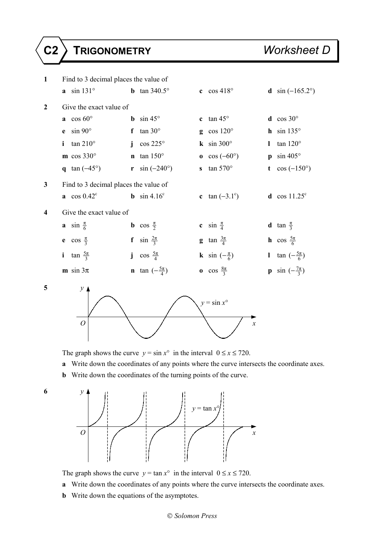



- **a** Write down the coordinates of any points where the curve intersects the coordinate axes.
- **b** Write down the coordinates of the turning points of the curve.



- The graph shows the curve  $y = \tan x^{\circ}$  in the interval  $0 \le x \le 720$ .
- **a** Write down the coordinates of any points where the curve intersects the coordinate axes.
- **b** Write down the equations of the asymptotes.